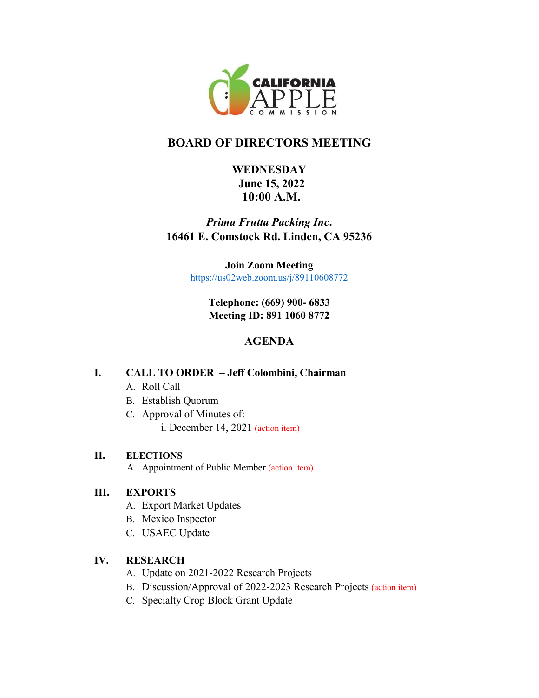

# **BOARD OF DIRECTORS MEETING**

## **WEDNESDAY June 15, 2022 10:00 A.M.**

## *Prima Frutta Packing Inc***. 16461 E. Comstock Rd. Linden, CA 95236**

**Join Zoom Meeting**  <https://us02web.zoom.us/j/89110608772>

> **Telephone: (669) 900- 6833 Meeting ID: 891 1060 8772**

## **AGENDA**

### **I. CALL TO ORDER – Jeff Colombini, Chairman**

- A. Roll Call
- B. Establish Quorum
- C. Approval of Minutes of:

i. December 14, 2021 (action item)

### **II. ELECTIONS**

A. Appointment of Public Member (action item)

### **III. EXPORTS**

- A. Export Market Updates
- B. Mexico Inspector
- C. USAEC Update

### **IV. RESEARCH**

- A. Update on 2021-2022 Research Projects
- B. Discussion/Approval of 2022-2023 Research Projects (action item)
- C. Specialty Crop Block Grant Update